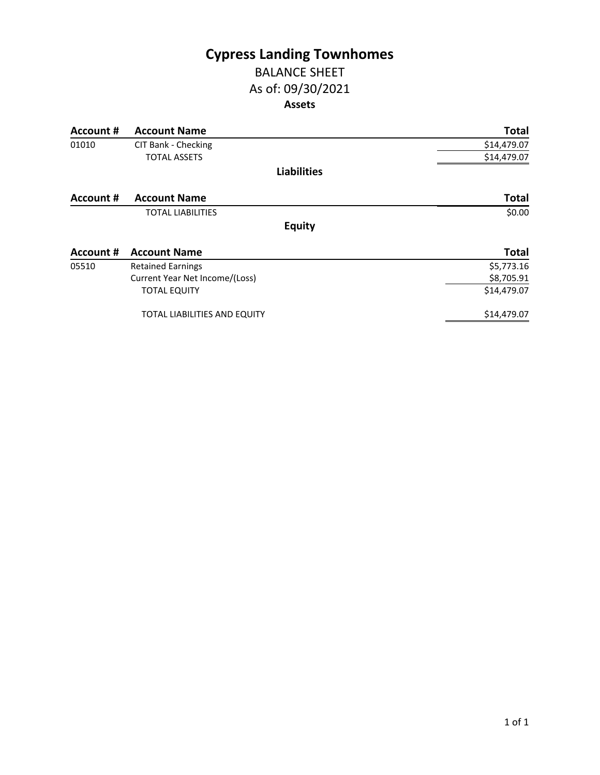## **Cypress Landing Townhomes** BALANCE SHEET

# As of: 09/30/2021 **Assets**

| Account # | <b>Account Name</b>            | <b>Total</b> |
|-----------|--------------------------------|--------------|
| 01010     | CIT Bank - Checking            | \$14,479.07  |
|           | <b>TOTAL ASSETS</b>            | \$14,479.07  |
|           | <b>Liabilities</b>             |              |
| Account # | <b>Account Name</b>            | <b>Total</b> |
|           | <b>TOTAL LIABILITIES</b>       | \$0.00       |
|           | <b>Equity</b>                  |              |
| Account # | <b>Account Name</b>            | <b>Total</b> |
| 05510     | <b>Retained Earnings</b>       | \$5,773.16   |
|           | Current Year Net Income/(Loss) | \$8,705.91   |
|           | <b>TOTAL EQUITY</b>            | \$14,479.07  |
|           | TOTAL LIABILITIES AND EQUITY   | \$14,479.07  |